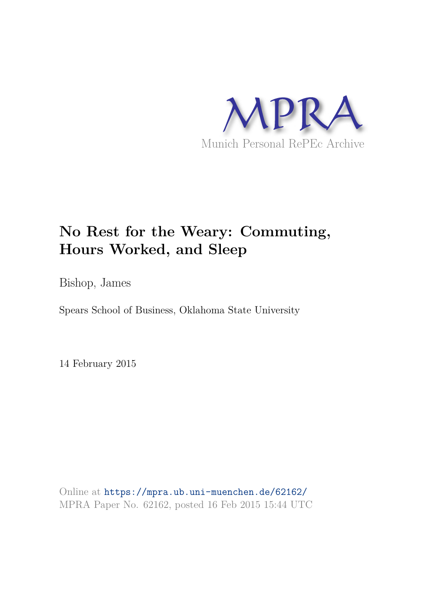

# **No Rest for the Weary: Commuting, Hours Worked, and Sleep**

Bishop, James

Spears School of Business, Oklahoma State University

14 February 2015

Online at https://mpra.ub.uni-muenchen.de/62162/ MPRA Paper No. 62162, posted 16 Feb 2015 15:44 UTC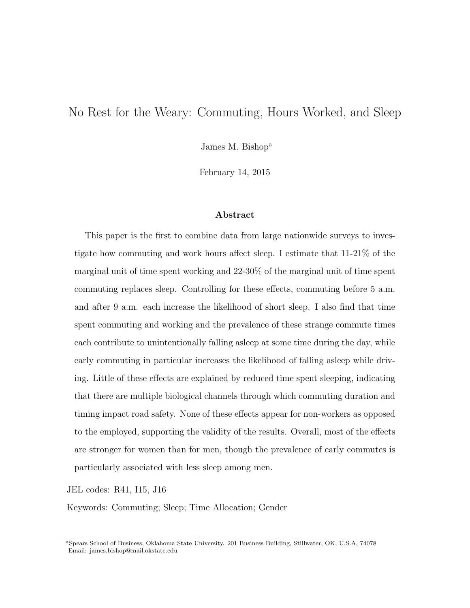## No Rest for the Weary: Commuting, Hours Worked, and Sleep

James M. Bishop<sup>a</sup>

February 14, 2015

#### Abstract

This paper is the first to combine data from large nationwide surveys to investigate how commuting and work hours affect sleep. I estimate that 11-21% of the marginal unit of time spent working and 22-30% of the marginal unit of time spent commuting replaces sleep. Controlling for these effects, commuting before 5 a.m. and after 9 a.m. each increase the likelihood of short sleep. I also find that time spent commuting and working and the prevalence of these strange commute times each contribute to unintentionally falling asleep at some time during the day, while early commuting in particular increases the likelihood of falling asleep while driving. Little of these effects are explained by reduced time spent sleeping, indicating that there are multiple biological channels through which commuting duration and timing impact road safety. None of these effects appear for non-workers as opposed to the employed, supporting the validity of the results. Overall, most of the effects are stronger for women than for men, though the prevalence of early commutes is particularly associated with less sleep among men.

JEL codes: R41, I15, J16

Keywords: Commuting; Sleep; Time Allocation; Gender

<sup>a</sup>Spears School of Business, Oklahoma State University. 201 Business Building, Stillwater, OK, U.S.A, 74078 Email: james.bishop@mail.okstate.edu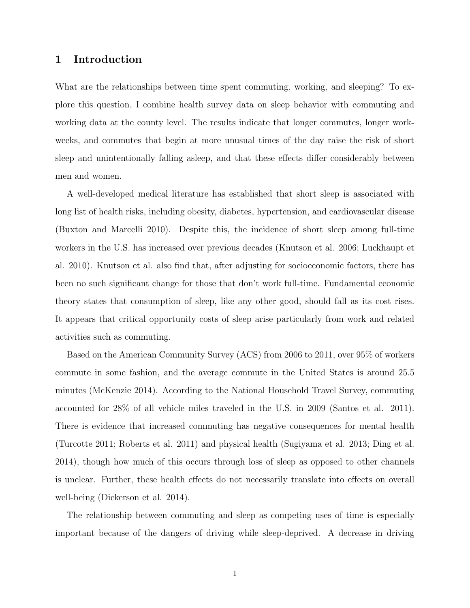### 1 Introduction

What are the relationships between time spent commuting, working, and sleeping? To explore this question, I combine health survey data on sleep behavior with commuting and working data at the county level. The results indicate that longer commutes, longer workweeks, and commutes that begin at more unusual times of the day raise the risk of short sleep and unintentionally falling asleep, and that these effects differ considerably between men and women.

A well-developed medical literature has established that short sleep is associated with long list of health risks, including obesity, diabetes, hypertension, and cardiovascular disease (Buxton and Marcelli 2010). Despite this, the incidence of short sleep among full-time workers in the U.S. has increased over previous decades (Knutson et al. 2006; Luckhaupt et al. 2010). Knutson et al. also find that, after adjusting for socioeconomic factors, there has been no such significant change for those that don't work full-time. Fundamental economic theory states that consumption of sleep, like any other good, should fall as its cost rises. It appears that critical opportunity costs of sleep arise particularly from work and related activities such as commuting.

Based on the American Community Survey (ACS) from 2006 to 2011, over 95% of workers commute in some fashion, and the average commute in the United States is around 25.5 minutes (McKenzie 2014). According to the National Household Travel Survey, commuting accounted for 28% of all vehicle miles traveled in the U.S. in 2009 (Santos et al. 2011). There is evidence that increased commuting has negative consequences for mental health (Turcotte 2011; Roberts et al. 2011) and physical health (Sugiyama et al. 2013; Ding et al. 2014), though how much of this occurs through loss of sleep as opposed to other channels is unclear. Further, these health effects do not necessarily translate into effects on overall well-being (Dickerson et al. 2014).

The relationship between commuting and sleep as competing uses of time is especially important because of the dangers of driving while sleep-deprived. A decrease in driving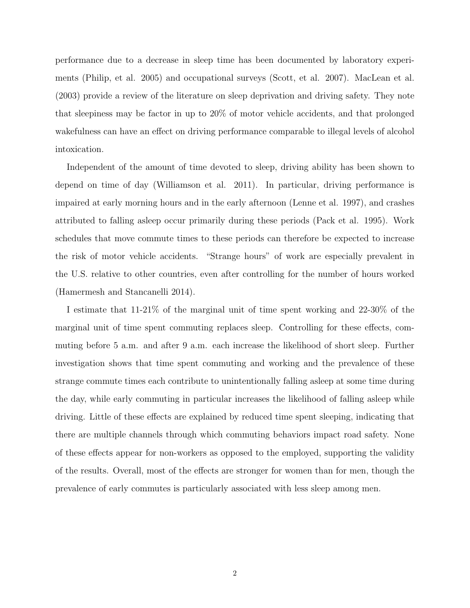performance due to a decrease in sleep time has been documented by laboratory experiments (Philip, et al. 2005) and occupational surveys (Scott, et al. 2007). MacLean et al. (2003) provide a review of the literature on sleep deprivation and driving safety. They note that sleepiness may be factor in up to 20% of motor vehicle accidents, and that prolonged wakefulness can have an effect on driving performance comparable to illegal levels of alcohol intoxication.

Independent of the amount of time devoted to sleep, driving ability has been shown to depend on time of day (Williamson et al. 2011). In particular, driving performance is impaired at early morning hours and in the early afternoon (Lenne et al. 1997), and crashes attributed to falling asleep occur primarily during these periods (Pack et al. 1995). Work schedules that move commute times to these periods can therefore be expected to increase the risk of motor vehicle accidents. "Strange hours" of work are especially prevalent in the U.S. relative to other countries, even after controlling for the number of hours worked (Hamermesh and Stancanelli 2014).

I estimate that 11-21% of the marginal unit of time spent working and 22-30% of the marginal unit of time spent commuting replaces sleep. Controlling for these effects, commuting before 5 a.m. and after 9 a.m. each increase the likelihood of short sleep. Further investigation shows that time spent commuting and working and the prevalence of these strange commute times each contribute to unintentionally falling asleep at some time during the day, while early commuting in particular increases the likelihood of falling asleep while driving. Little of these effects are explained by reduced time spent sleeping, indicating that there are multiple channels through which commuting behaviors impact road safety. None of these effects appear for non-workers as opposed to the employed, supporting the validity of the results. Overall, most of the effects are stronger for women than for men, though the prevalence of early commutes is particularly associated with less sleep among men.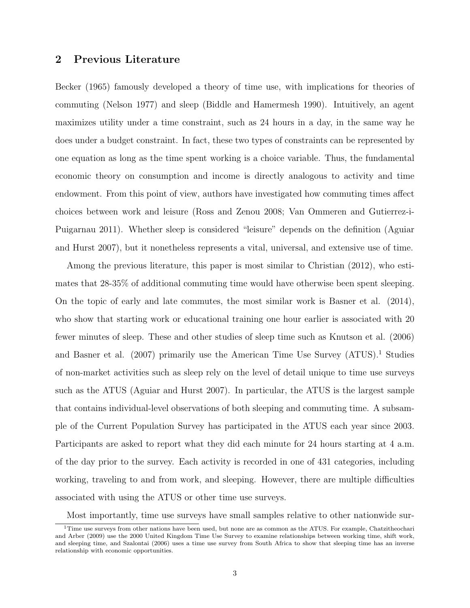## 2 Previous Literature

Becker (1965) famously developed a theory of time use, with implications for theories of commuting (Nelson 1977) and sleep (Biddle and Hamermesh 1990). Intuitively, an agent maximizes utility under a time constraint, such as 24 hours in a day, in the same way he does under a budget constraint. In fact, these two types of constraints can be represented by one equation as long as the time spent working is a choice variable. Thus, the fundamental economic theory on consumption and income is directly analogous to activity and time endowment. From this point of view, authors have investigated how commuting times affect choices between work and leisure (Ross and Zenou 2008; Van Ommeren and Gutierrez-i-Puigarnau 2011). Whether sleep is considered "leisure" depends on the definition (Aguiar and Hurst 2007), but it nonetheless represents a vital, universal, and extensive use of time.

Among the previous literature, this paper is most similar to Christian (2012), who estimates that 28-35% of additional commuting time would have otherwise been spent sleeping. On the topic of early and late commutes, the most similar work is Basner et al. (2014), who show that starting work or educational training one hour earlier is associated with 20 fewer minutes of sleep. These and other studies of sleep time such as Knutson et al. (2006) and Basner et al. (2007) primarily use the American Time Use Survey (ATUS).<sup>1</sup> Studies of non-market activities such as sleep rely on the level of detail unique to time use surveys such as the ATUS (Aguiar and Hurst 2007). In particular, the ATUS is the largest sample that contains individual-level observations of both sleeping and commuting time. A subsample of the Current Population Survey has participated in the ATUS each year since 2003. Participants are asked to report what they did each minute for 24 hours starting at 4 a.m. of the day prior to the survey. Each activity is recorded in one of 431 categories, including working, traveling to and from work, and sleeping. However, there are multiple difficulties associated with using the ATUS or other time use surveys.

Most importantly, time use surveys have small samples relative to other nationwide sur-

<sup>&</sup>lt;sup>1</sup>Time use surveys from other nations have been used, but none are as common as the ATUS. For example, Chatzitheochari and Arber (2009) use the 2000 United Kingdom Time Use Survey to examine relationships between working time, shift work, and sleeping time, and Szalontai (2006) uses a time use survey from South Africa to show that sleeping time has an inverse relationship with economic opportunities.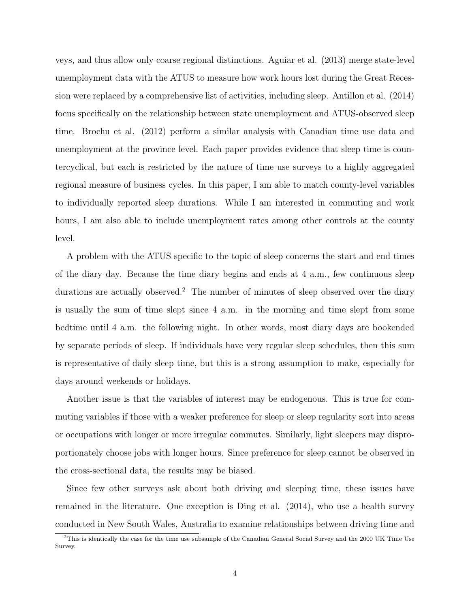veys, and thus allow only coarse regional distinctions. Aguiar et al. (2013) merge state-level unemployment data with the ATUS to measure how work hours lost during the Great Recession were replaced by a comprehensive list of activities, including sleep. Antillon et al. (2014) focus specifically on the relationship between state unemployment and ATUS-observed sleep time. Brochu et al. (2012) perform a similar analysis with Canadian time use data and unemployment at the province level. Each paper provides evidence that sleep time is countercyclical, but each is restricted by the nature of time use surveys to a highly aggregated regional measure of business cycles. In this paper, I am able to match county-level variables to individually reported sleep durations. While I am interested in commuting and work hours, I am also able to include unemployment rates among other controls at the county level.

A problem with the ATUS specific to the topic of sleep concerns the start and end times of the diary day. Because the time diary begins and ends at 4 a.m., few continuous sleep durations are actually observed.<sup>2</sup> The number of minutes of sleep observed over the diary is usually the sum of time slept since 4 a.m. in the morning and time slept from some bedtime until 4 a.m. the following night. In other words, most diary days are bookended by separate periods of sleep. If individuals have very regular sleep schedules, then this sum is representative of daily sleep time, but this is a strong assumption to make, especially for days around weekends or holidays.

Another issue is that the variables of interest may be endogenous. This is true for commuting variables if those with a weaker preference for sleep or sleep regularity sort into areas or occupations with longer or more irregular commutes. Similarly, light sleepers may disproportionately choose jobs with longer hours. Since preference for sleep cannot be observed in the cross-sectional data, the results may be biased.

Since few other surveys ask about both driving and sleeping time, these issues have remained in the literature. One exception is Ding et al. (2014), who use a health survey conducted in New South Wales, Australia to examine relationships between driving time and

<sup>2</sup>This is identically the case for the time use subsample of the Canadian General Social Survey and the 2000 UK Time Use Survey.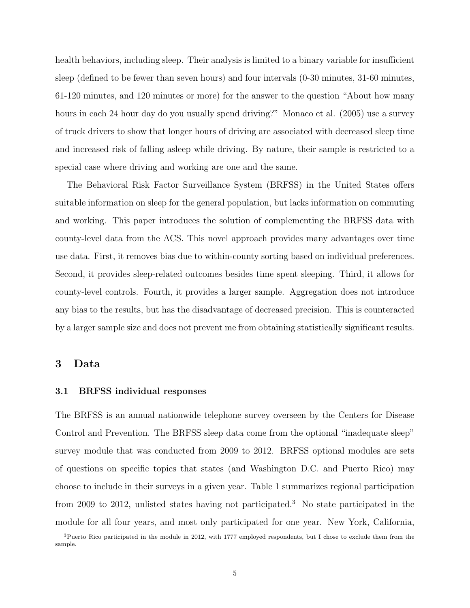health behaviors, including sleep. Their analysis is limited to a binary variable for insufficient sleep (defined to be fewer than seven hours) and four intervals (0-30 minutes, 31-60 minutes, 61-120 minutes, and 120 minutes or more) for the answer to the question "About how many hours in each 24 hour day do you usually spend driving?" Monaco et al. (2005) use a survey of truck drivers to show that longer hours of driving are associated with decreased sleep time and increased risk of falling asleep while driving. By nature, their sample is restricted to a special case where driving and working are one and the same.

The Behavioral Risk Factor Surveillance System (BRFSS) in the United States offers suitable information on sleep for the general population, but lacks information on commuting and working. This paper introduces the solution of complementing the BRFSS data with county-level data from the ACS. This novel approach provides many advantages over time use data. First, it removes bias due to within-county sorting based on individual preferences. Second, it provides sleep-related outcomes besides time spent sleeping. Third, it allows for county-level controls. Fourth, it provides a larger sample. Aggregation does not introduce any bias to the results, but has the disadvantage of decreased precision. This is counteracted by a larger sample size and does not prevent me from obtaining statistically significant results.

#### 3 Data

#### 3.1 BRFSS individual responses

The BRFSS is an annual nationwide telephone survey overseen by the Centers for Disease Control and Prevention. The BRFSS sleep data come from the optional "inadequate sleep" survey module that was conducted from 2009 to 2012. BRFSS optional modules are sets of questions on specific topics that states (and Washington D.C. and Puerto Rico) may choose to include in their surveys in a given year. Table 1 summarizes regional participation from 2009 to 2012, unlisted states having not participated.<sup>3</sup> No state participated in the module for all four years, and most only participated for one year. New York, California,

<sup>3</sup>Puerto Rico participated in the module in 2012, with 1777 employed respondents, but I chose to exclude them from the sample.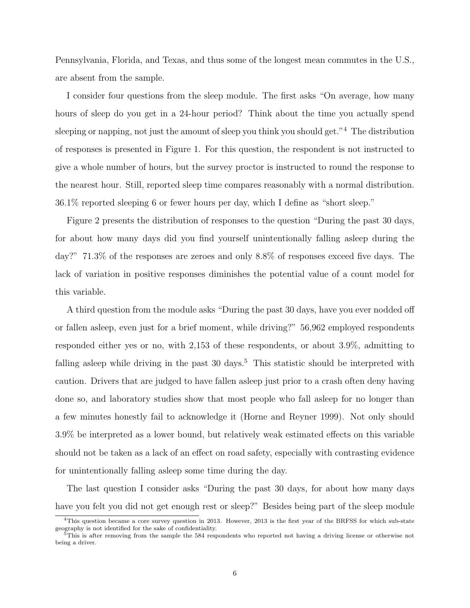Pennsylvania, Florida, and Texas, and thus some of the longest mean commutes in the U.S., are absent from the sample.

I consider four questions from the sleep module. The first asks "On average, how many hours of sleep do you get in a 24-hour period? Think about the time you actually spend sleeping or napping, not just the amount of sleep you think you should get."<sup>4</sup> The distribution of responses is presented in Figure 1. For this question, the respondent is not instructed to give a whole number of hours, but the survey proctor is instructed to round the response to the nearest hour. Still, reported sleep time compares reasonably with a normal distribution. 36.1% reported sleeping 6 or fewer hours per day, which I define as "short sleep."

Figure 2 presents the distribution of responses to the question "During the past 30 days, for about how many days did you find yourself unintentionally falling asleep during the day?" 71.3% of the responses are zeroes and only 8.8% of responses exceed five days. The lack of variation in positive responses diminishes the potential value of a count model for this variable.

A third question from the module asks "During the past 30 days, have you ever nodded off or fallen asleep, even just for a brief moment, while driving?" 56,962 employed respondents responded either yes or no, with 2,153 of these respondents, or about 3.9%, admitting to falling asleep while driving in the past 30 days.<sup>5</sup> This statistic should be interpreted with caution. Drivers that are judged to have fallen asleep just prior to a crash often deny having done so, and laboratory studies show that most people who fall asleep for no longer than a few minutes honestly fail to acknowledge it (Horne and Reyner 1999). Not only should 3.9% be interpreted as a lower bound, but relatively weak estimated effects on this variable should not be taken as a lack of an effect on road safety, especially with contrasting evidence for unintentionally falling asleep some time during the day.

The last question I consider asks "During the past 30 days, for about how many days have you felt you did not get enough rest or sleep?" Besides being part of the sleep module

<sup>&</sup>lt;sup>4</sup>This question became a core survey question in 2013. However, 2013 is the first year of the BRFSS for which sub-state geography is not identified for the sake of confidentiality.

<sup>5</sup>This is after removing from the sample the 584 respondents who reported not having a driving license or otherwise not being a driver.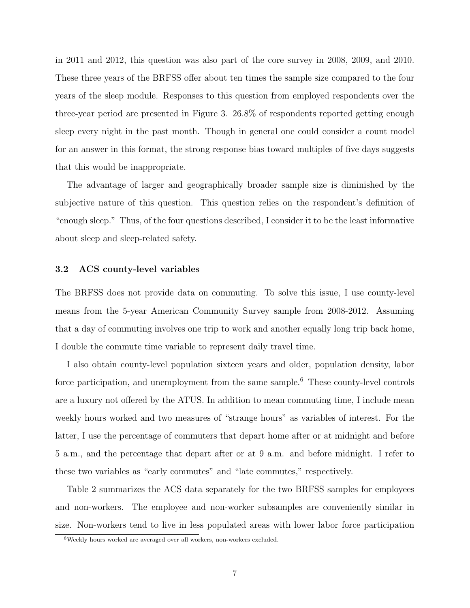in 2011 and 2012, this question was also part of the core survey in 2008, 2009, and 2010. These three years of the BRFSS offer about ten times the sample size compared to the four years of the sleep module. Responses to this question from employed respondents over the three-year period are presented in Figure 3. 26.8% of respondents reported getting enough sleep every night in the past month. Though in general one could consider a count model for an answer in this format, the strong response bias toward multiples of five days suggests that this would be inappropriate.

The advantage of larger and geographically broader sample size is diminished by the subjective nature of this question. This question relies on the respondent's definition of "enough sleep." Thus, of the four questions described, I consider it to be the least informative about sleep and sleep-related safety.

#### 3.2 ACS county-level variables

The BRFSS does not provide data on commuting. To solve this issue, I use county-level means from the 5-year American Community Survey sample from 2008-2012. Assuming that a day of commuting involves one trip to work and another equally long trip back home, I double the commute time variable to represent daily travel time.

I also obtain county-level population sixteen years and older, population density, labor force participation, and unemployment from the same sample. <sup>6</sup> These county-level controls are a luxury not offered by the ATUS. In addition to mean commuting time, I include mean weekly hours worked and two measures of "strange hours" as variables of interest. For the latter, I use the percentage of commuters that depart home after or at midnight and before 5 a.m., and the percentage that depart after or at 9 a.m. and before midnight. I refer to these two variables as "early commutes" and "late commutes," respectively.

Table 2 summarizes the ACS data separately for the two BRFSS samples for employees and non-workers. The employee and non-worker subsamples are conveniently similar in size. Non-workers tend to live in less populated areas with lower labor force participation

 $6$ Weekly hours worked are averaged over all workers, non-workers excluded.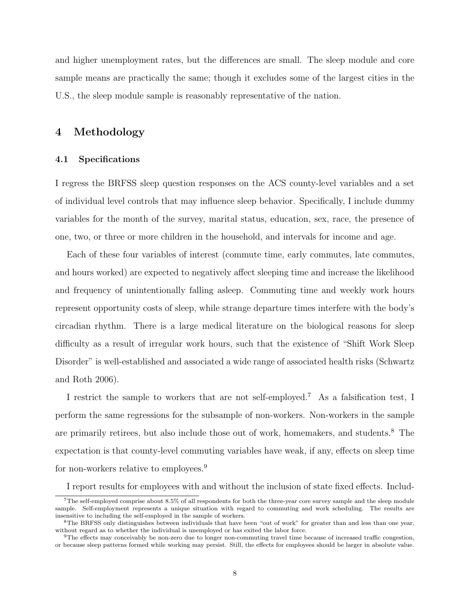and higher unemployment rates, but the differences are small. The sleep module and core sample means are practically the same; though it excludes some of the largest cities in the U.S., the sleep module sample is reasonably representative of the nation.

## 4 Methodology

#### 4.1 Specifications

I regress the BRFSS sleep question responses on the ACS county-level variables and a set of individual level controls that may influence sleep behavior. Specifically, I include dummy variables for the month of the survey, marital status, education, sex, race, the presence of one, two, or three or more children in the household, and intervals for income and age.

Each of these four variables of interest (commute time, early commutes, late commutes, and hours worked) are expected to negatively affect sleeping time and increase the likelihood and frequency of unintentionally falling asleep. Commuting time and weekly work hours represent opportunity costs of sleep, while strange departure times interfere with the body's circadian rhythm. There is a large medical literature on the biological reasons for sleep difficulty as a result of irregular work hours, such that the existence of "Shift Work Sleep Disorder" is well-established and associated a wide range of associated health risks (Schwartz and Roth 2006).

I restrict the sample to workers that are not self-employed.<sup>7</sup> As a falsification test, I perform the same regressions for the subsample of non-workers. Non-workers in the sample are primarily retirees, but also include those out of work, homemakers, and students.<sup>8</sup> The expectation is that county-level commuting variables have weak, if any, effects on sleep time for non-workers relative to employees.<sup>9</sup>

I report results for employees with and without the inclusion of state fixed effects. Includ-

 $7$ The self-employed comprise about  $8.5\%$  of all respondents for both the three-year core survey sample and the sleep module sample. Self-employment represents a unique situation with regard to commuting and work scheduling. The results are insensitive to including the self-employed in the sample of workers.

<sup>8</sup>The BRFSS only distinguishes between individuals that have been "out of work" for greater than and less than one year, without regard as to whether the individual is unemployed or has exited the labor force.

<sup>9</sup>The effects may conceivably be non-zero due to longer non-commuting travel time because of increased traffic congestion, or because sleep patterns formed while working may persist. Still, the effects for employees should be larger in absolute value.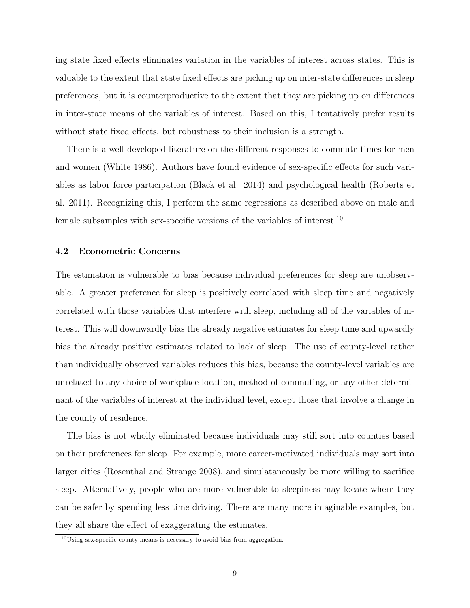ing state fixed effects eliminates variation in the variables of interest across states. This is valuable to the extent that state fixed effects are picking up on inter-state differences in sleep preferences, but it is counterproductive to the extent that they are picking up on differences in inter-state means of the variables of interest. Based on this, I tentatively prefer results without state fixed effects, but robustness to their inclusion is a strength.

There is a well-developed literature on the different responses to commute times for men and women (White 1986). Authors have found evidence of sex-specific effects for such variables as labor force participation (Black et al. 2014) and psychological health (Roberts et al. 2011). Recognizing this, I perform the same regressions as described above on male and female subsamples with sex-specific versions of the variables of interest.<sup>10</sup>

#### 4.2 Econometric Concerns

The estimation is vulnerable to bias because individual preferences for sleep are unobservable. A greater preference for sleep is positively correlated with sleep time and negatively correlated with those variables that interfere with sleep, including all of the variables of interest. This will downwardly bias the already negative estimates for sleep time and upwardly bias the already positive estimates related to lack of sleep. The use of county-level rather than individually observed variables reduces this bias, because the county-level variables are unrelated to any choice of workplace location, method of commuting, or any other determinant of the variables of interest at the individual level, except those that involve a change in the county of residence.

The bias is not wholly eliminated because individuals may still sort into counties based on their preferences for sleep. For example, more career-motivated individuals may sort into larger cities (Rosenthal and Strange 2008), and simulataneously be more willing to sacrifice sleep. Alternatively, people who are more vulnerable to sleepiness may locate where they can be safer by spending less time driving. There are many more imaginable examples, but they all share the effect of exaggerating the estimates.

 $10$ Using sex-specific county means is necessary to avoid bias from aggregation.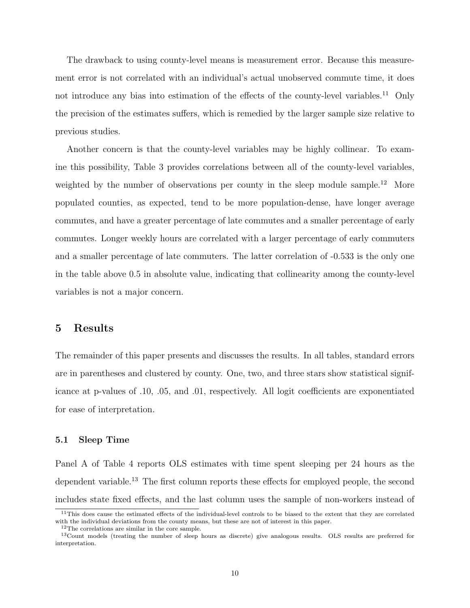The drawback to using county-level means is measurement error. Because this measurement error is not correlated with an individual's actual unobserved commute time, it does not introduce any bias into estimation of the effects of the county-level variables.<sup>11</sup> Only the precision of the estimates suffers, which is remedied by the larger sample size relative to previous studies.

Another concern is that the county-level variables may be highly collinear. To examine this possibility, Table 3 provides correlations between all of the county-level variables, weighted by the number of observations per county in the sleep module sample.<sup>12</sup> More populated counties, as expected, tend to be more population-dense, have longer average commutes, and have a greater percentage of late commutes and a smaller percentage of early commutes. Longer weekly hours are correlated with a larger percentage of early commuters and a smaller percentage of late commuters. The latter correlation of -0.533 is the only one in the table above 0.5 in absolute value, indicating that collinearity among the county-level variables is not a major concern.

## 5 Results

The remainder of this paper presents and discusses the results. In all tables, standard errors are in parentheses and clustered by county. One, two, and three stars show statistical significance at p-values of .10, .05, and .01, respectively. All logit coefficients are exponentiated for ease of interpretation.

#### 5.1 Sleep Time

Panel A of Table 4 reports OLS estimates with time spent sleeping per 24 hours as the dependent variable.<sup>13</sup> The first column reports these effects for employed people, the second includes state fixed effects, and the last column uses the sample of non-workers instead of

<sup>&</sup>lt;sup>11</sup>This does cause the estimated effects of the individual-level controls to be biased to the extent that they are correlated with the individual deviations from the county means, but these are not of interest in this paper.

<sup>&</sup>lt;sup>12</sup>The correlations are similar in the core sample.

<sup>&</sup>lt;sup>13</sup>Count models (treating the number of sleep hours as discrete) give analogous results. OLS results are preferred for interpretation.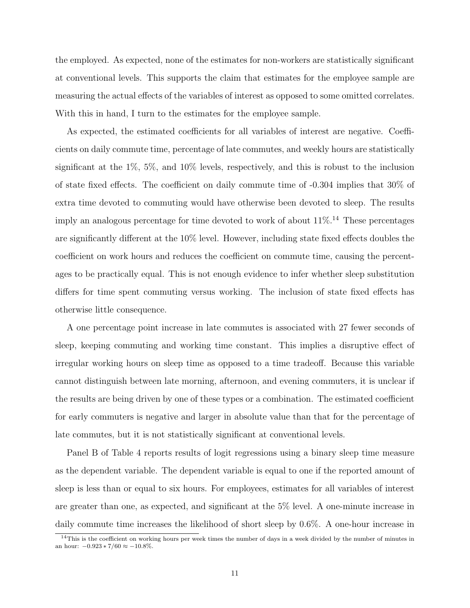the employed. As expected, none of the estimates for non-workers are statistically significant at conventional levels. This supports the claim that estimates for the employee sample are measuring the actual effects of the variables of interest as opposed to some omitted correlates. With this in hand, I turn to the estimates for the employee sample.

As expected, the estimated coefficients for all variables of interest are negative. Coefficients on daily commute time, percentage of late commutes, and weekly hours are statistically significant at the 1%, 5%, and 10% levels, respectively, and this is robust to the inclusion of state fixed effects. The coefficient on daily commute time of -0.304 implies that 30% of extra time devoted to commuting would have otherwise been devoted to sleep. The results imply an analogous percentage for time devoted to work of about  $11\%$ <sup>14</sup>. These percentages are significantly different at the 10% level. However, including state fixed effects doubles the coefficient on work hours and reduces the coefficient on commute time, causing the percentages to be practically equal. This is not enough evidence to infer whether sleep substitution differs for time spent commuting versus working. The inclusion of state fixed effects has otherwise little consequence.

A one percentage point increase in late commutes is associated with 27 fewer seconds of sleep, keeping commuting and working time constant. This implies a disruptive effect of irregular working hours on sleep time as opposed to a time tradeoff. Because this variable cannot distinguish between late morning, afternoon, and evening commuters, it is unclear if the results are being driven by one of these types or a combination. The estimated coefficient for early commuters is negative and larger in absolute value than that for the percentage of late commutes, but it is not statistically significant at conventional levels.

Panel B of Table 4 reports results of logit regressions using a binary sleep time measure as the dependent variable. The dependent variable is equal to one if the reported amount of sleep is less than or equal to six hours. For employees, estimates for all variables of interest are greater than one, as expected, and significant at the 5% level. A one-minute increase in daily commute time increases the likelihood of short sleep by 0.6%. A one-hour increase in

 $14$ This is the coefficient on working hours per week times the number of days in a week divided by the number of minutes in an hour:  $-0.923 * 7/60 \approx -10.8\%$ .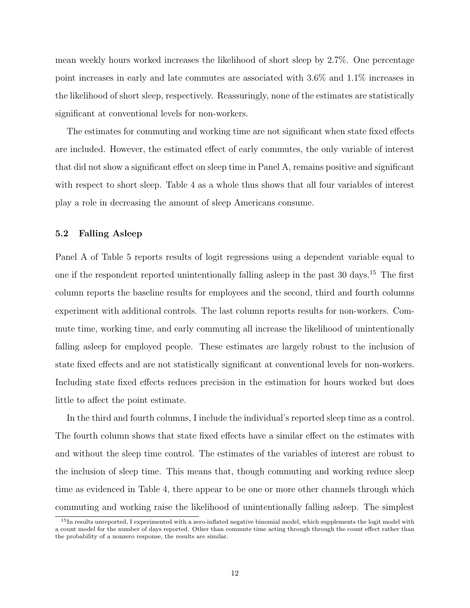mean weekly hours worked increases the likelihood of short sleep by 2.7%. One percentage point increases in early and late commutes are associated with 3.6% and 1.1% increases in the likelihood of short sleep, respectively. Reassuringly, none of the estimates are statistically significant at conventional levels for non-workers.

The estimates for commuting and working time are not significant when state fixed effects are included. However, the estimated effect of early commutes, the only variable of interest that did not show a significant effect on sleep time in Panel A, remains positive and significant with respect to short sleep. Table 4 as a whole thus shows that all four variables of interest play a role in decreasing the amount of sleep Americans consume.

#### 5.2 Falling Asleep

Panel A of Table 5 reports results of logit regressions using a dependent variable equal to one if the respondent reported unintentionally falling asleep in the past 30 days.<sup>15</sup> The first column reports the baseline results for employees and the second, third and fourth columns experiment with additional controls. The last column reports results for non-workers. Commute time, working time, and early commuting all increase the likelihood of unintentionally falling asleep for employed people. These estimates are largely robust to the inclusion of state fixed effects and are not statistically significant at conventional levels for non-workers. Including state fixed effects reduces precision in the estimation for hours worked but does little to affect the point estimate.

In the third and fourth columns, I include the individual's reported sleep time as a control. The fourth column shows that state fixed effects have a similar effect on the estimates with and without the sleep time control. The estimates of the variables of interest are robust to the inclusion of sleep time. This means that, though commuting and working reduce sleep time as evidenced in Table 4, there appear to be one or more other channels through which commuting and working raise the likelihood of unintentionally falling asleep. The simplest

<sup>&</sup>lt;sup>15</sup>In results unreported, I experimented with a zero-inflated negative binomial model, which supplements the logit model with a count model for the number of days reported. Other than commute time acting through through the count effect rather than the probability of a nonzero response, the results are similar.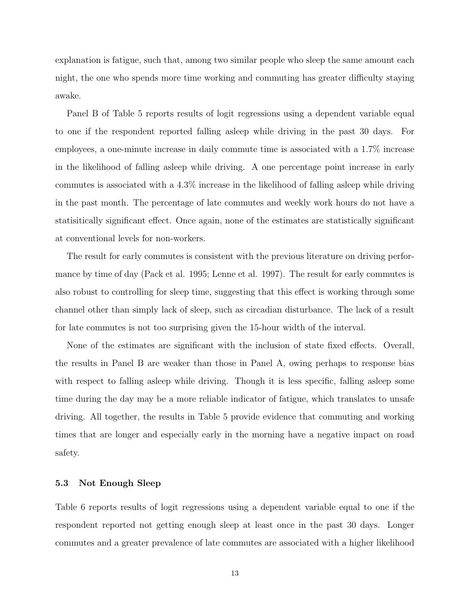explanation is fatigue, such that, among two similar people who sleep the same amount each night, the one who spends more time working and commuting has greater difficulty staying awake.

Panel B of Table 5 reports results of logit regressions using a dependent variable equal to one if the respondent reported falling asleep while driving in the past 30 days. For employees, a one-minute increase in daily commute time is associated with a 1.7% increase in the likelihood of falling asleep while driving. A one percentage point increase in early commutes is associated with a 4.3% increase in the likelihood of falling asleep while driving in the past month. The percentage of late commutes and weekly work hours do not have a statisitically significant effect. Once again, none of the estimates are statistically significant at conventional levels for non-workers.

The result for early commutes is consistent with the previous literature on driving performance by time of day (Pack et al. 1995; Lenne et al. 1997). The result for early commutes is also robust to controlling for sleep time, suggesting that this effect is working through some channel other than simply lack of sleep, such as circadian disturbance. The lack of a result for late commutes is not too surprising given the 15-hour width of the interval.

None of the estimates are significant with the inclusion of state fixed effects. Overall, the results in Panel B are weaker than those in Panel A, owing perhaps to response bias with respect to falling asleep while driving. Though it is less specific, falling asleep some time during the day may be a more reliable indicator of fatigue, which translates to unsafe driving. All together, the results in Table 5 provide evidence that commuting and working times that are longer and especially early in the morning have a negative impact on road safety.

#### 5.3 Not Enough Sleep

Table 6 reports results of logit regressions using a dependent variable equal to one if the respondent reported not getting enough sleep at least once in the past 30 days. Longer commutes and a greater prevalence of late commutes are associated with a higher likelihood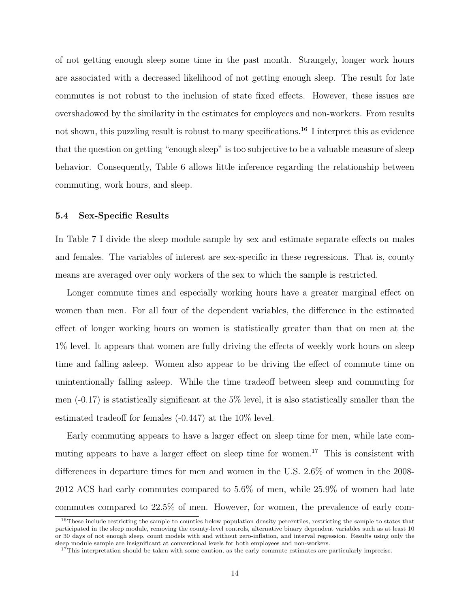of not getting enough sleep some time in the past month. Strangely, longer work hours are associated with a decreased likelihood of not getting enough sleep. The result for late commutes is not robust to the inclusion of state fixed effects. However, these issues are overshadowed by the similarity in the estimates for employees and non-workers. From results not shown, this puzzling result is robust to many specifications.<sup>16</sup> I interpret this as evidence that the question on getting "enough sleep" is too subjective to be a valuable measure of sleep behavior. Consequently, Table 6 allows little inference regarding the relationship between commuting, work hours, and sleep.

#### 5.4 Sex-Specific Results

In Table 7 I divide the sleep module sample by sex and estimate separate effects on males and females. The variables of interest are sex-specific in these regressions. That is, county means are averaged over only workers of the sex to which the sample is restricted.

Longer commute times and especially working hours have a greater marginal effect on women than men. For all four of the dependent variables, the difference in the estimated effect of longer working hours on women is statistically greater than that on men at the 1% level. It appears that women are fully driving the effects of weekly work hours on sleep time and falling asleep. Women also appear to be driving the effect of commute time on unintentionally falling asleep. While the time tradeoff between sleep and commuting for men  $(-0.17)$  is statistically significant at the 5% level, it is also statistically smaller than the estimated tradeoff for females (-0.447) at the 10% level.

Early commuting appears to have a larger effect on sleep time for men, while late commuting appears to have a larger effect on sleep time for women.<sup>17</sup> This is consistent with differences in departure times for men and women in the U.S. 2.6% of women in the 2008- 2012 ACS had early commutes compared to 5.6% of men, while 25.9% of women had late commutes compared to 22.5% of men. However, for women, the prevalence of early com-

 $16$ These include restricting the sample to counties below population density percentiles, restricting the sample to states that participated in the sleep module, removing the county-level controls, alternative binary dependent variables such as at least 10 or 30 days of not enough sleep, count models with and without zero-inflation, and interval regression. Results using only the sleep module sample are insignificant at conventional levels for both employees and non-workers.

 $17$ This interpretation should be taken with some caution, as the early commute estimates are particularly imprecise.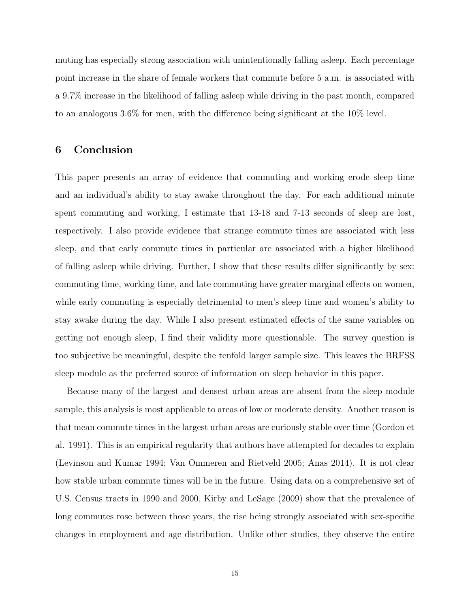muting has especially strong association with unintentionally falling asleep. Each percentage point increase in the share of female workers that commute before 5 a.m. is associated with a 9.7% increase in the likelihood of falling asleep while driving in the past month, compared to an analogous 3.6% for men, with the difference being significant at the 10% level.

## 6 Conclusion

This paper presents an array of evidence that commuting and working erode sleep time and an individual's ability to stay awake throughout the day. For each additional minute spent commuting and working, I estimate that 13-18 and 7-13 seconds of sleep are lost, respectively. I also provide evidence that strange commute times are associated with less sleep, and that early commute times in particular are associated with a higher likelihood of falling asleep while driving. Further, I show that these results differ significantly by sex: commuting time, working time, and late commuting have greater marginal effects on women, while early commuting is especially detrimental to men's sleep time and women's ability to stay awake during the day. While I also present estimated effects of the same variables on getting not enough sleep, I find their validity more questionable. The survey question is too subjective be meaningful, despite the tenfold larger sample size. This leaves the BRFSS sleep module as the preferred source of information on sleep behavior in this paper.

Because many of the largest and densest urban areas are absent from the sleep module sample, this analysis is most applicable to areas of low or moderate density. Another reason is that mean commute times in the largest urban areas are curiously stable over time (Gordon et al. 1991). This is an empirical regularity that authors have attempted for decades to explain (Levinson and Kumar 1994; Van Ommeren and Rietveld 2005; Anas 2014). It is not clear how stable urban commute times will be in the future. Using data on a comprehensive set of U.S. Census tracts in 1990 and 2000, Kirby and LeSage (2009) show that the prevalence of long commutes rose between those years, the rise being strongly associated with sex-specific changes in employment and age distribution. Unlike other studies, they observe the entire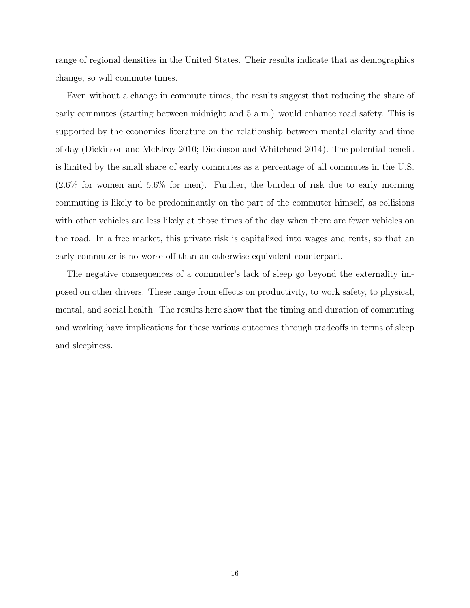range of regional densities in the United States. Their results indicate that as demographics change, so will commute times.

Even without a change in commute times, the results suggest that reducing the share of early commutes (starting between midnight and 5 a.m.) would enhance road safety. This is supported by the economics literature on the relationship between mental clarity and time of day (Dickinson and McElroy 2010; Dickinson and Whitehead 2014). The potential benefit is limited by the small share of early commutes as a percentage of all commutes in the U.S. (2.6% for women and 5.6% for men). Further, the burden of risk due to early morning commuting is likely to be predominantly on the part of the commuter himself, as collisions with other vehicles are less likely at those times of the day when there are fewer vehicles on the road. In a free market, this private risk is capitalized into wages and rents, so that an early commuter is no worse off than an otherwise equivalent counterpart.

The negative consequences of a commuter's lack of sleep go beyond the externality imposed on other drivers. These range from effects on productivity, to work safety, to physical, mental, and social health. The results here show that the timing and duration of commuting and working have implications for these various outcomes through tradeoffs in terms of sleep and sleepiness.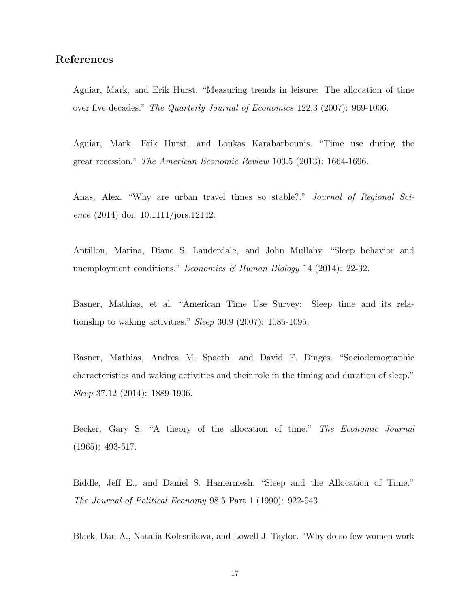## References

Aguiar, Mark, and Erik Hurst. "Measuring trends in leisure: The allocation of time over five decades." The Quarterly Journal of Economics 122.3 (2007): 969-1006.

Aguiar, Mark, Erik Hurst, and Loukas Karabarbounis. "Time use during the great recession." The American Economic Review 103.5 (2013): 1664-1696.

Anas, Alex. "Why are urban travel times so stable?." Journal of Regional Science (2014) doi: 10.1111/jors.12142.

Antillon, Marina, Diane S. Lauderdale, and John Mullahy. "Sleep behavior and unemployment conditions." Economics & Human Biology 14 (2014): 22-32.

Basner, Mathias, et al. "American Time Use Survey: Sleep time and its relationship to waking activities." Sleep 30.9 (2007): 1085-1095.

Basner, Mathias, Andrea M. Spaeth, and David F. Dinges. "Sociodemographic characteristics and waking activities and their role in the timing and duration of sleep." Sleep 37.12 (2014): 1889-1906.

Becker, Gary S. "A theory of the allocation of time." The Economic Journal (1965): 493-517.

Biddle, Jeff E., and Daniel S. Hamermesh. "Sleep and the Allocation of Time." The Journal of Political Economy 98.5 Part 1 (1990): 922-943.

Black, Dan A., Natalia Kolesnikova, and Lowell J. Taylor. "Why do so few women work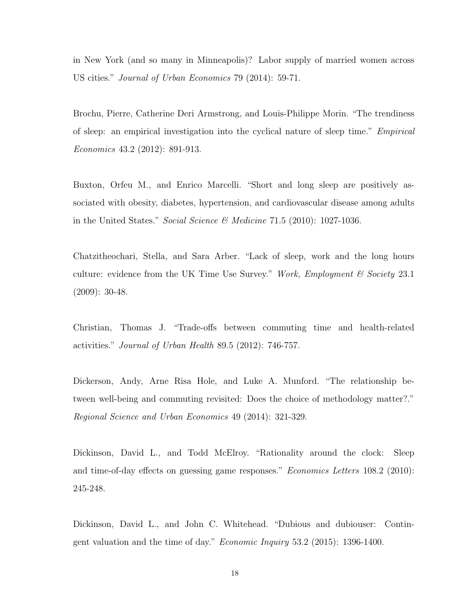in New York (and so many in Minneapolis)? Labor supply of married women across US cities." Journal of Urban Economics 79 (2014): 59-71.

Brochu, Pierre, Catherine Deri Armstrong, and Louis-Philippe Morin. "The trendiness of sleep: an empirical investigation into the cyclical nature of sleep time." Empirical Economics 43.2 (2012): 891-913.

Buxton, Orfeu M., and Enrico Marcelli. "Short and long sleep are positively associated with obesity, diabetes, hypertension, and cardiovascular disease among adults in the United States." Social Science  $\mathcal{C}$  Medicine 71.5 (2010): 1027-1036.

Chatzitheochari, Stella, and Sara Arber. "Lack of sleep, work and the long hours culture: evidence from the UK Time Use Survey." Work, Employment  $\mathcal C$  Society 23.1 (2009): 30-48.

Christian, Thomas J. "Trade-offs between commuting time and health-related activities." Journal of Urban Health 89.5 (2012): 746-757.

Dickerson, Andy, Arne Risa Hole, and Luke A. Munford. "The relationship between well-being and commuting revisited: Does the choice of methodology matter?." Regional Science and Urban Economics 49 (2014): 321-329.

Dickinson, David L., and Todd McElroy. "Rationality around the clock: Sleep and time-of-day effects on guessing game responses." Economics Letters 108.2 (2010): 245-248.

Dickinson, David L., and John C. Whitehead. "Dubious and dubiouser: Contingent valuation and the time of day." Economic Inquiry 53.2 (2015): 1396-1400.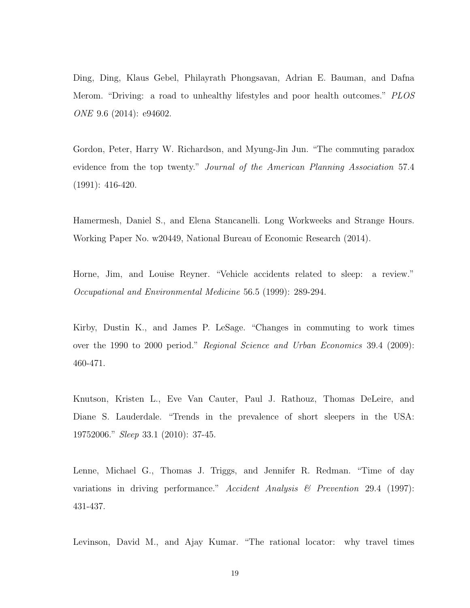Ding, Ding, Klaus Gebel, Philayrath Phongsavan, Adrian E. Bauman, and Dafna Merom. "Driving: a road to unhealthy lifestyles and poor health outcomes." PLOS ONE 9.6 (2014): e94602.

Gordon, Peter, Harry W. Richardson, and Myung-Jin Jun. "The commuting paradox evidence from the top twenty." Journal of the American Planning Association 57.4 (1991): 416-420.

Hamermesh, Daniel S., and Elena Stancanelli. Long Workweeks and Strange Hours. Working Paper No. w20449, National Bureau of Economic Research (2014).

Horne, Jim, and Louise Reyner. "Vehicle accidents related to sleep: a review." Occupational and Environmental Medicine 56.5 (1999): 289-294.

Kirby, Dustin K., and James P. LeSage. "Changes in commuting to work times over the 1990 to 2000 period." Regional Science and Urban Economics 39.4 (2009): 460-471.

Knutson, Kristen L., Eve Van Cauter, Paul J. Rathouz, Thomas DeLeire, and Diane S. Lauderdale. "Trends in the prevalence of short sleepers in the USA: 19752006." Sleep 33.1 (2010): 37-45.

Lenne, Michael G., Thomas J. Triggs, and Jennifer R. Redman. "Time of day variations in driving performance." Accident Analysis & Prevention 29.4 (1997): 431-437.

Levinson, David M., and Ajay Kumar. "The rational locator: why travel times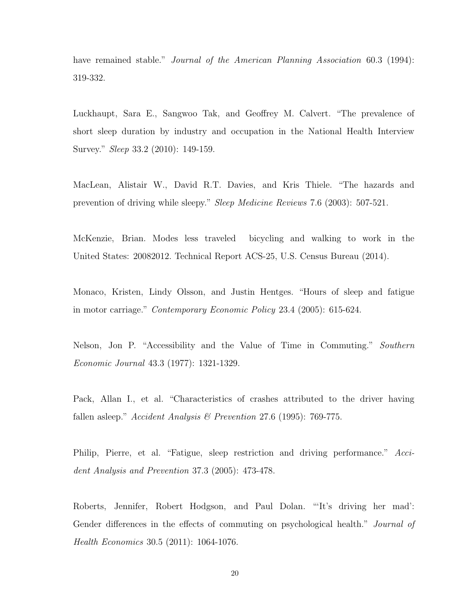have remained stable." *Journal of the American Planning Association* 60.3 (1994): 319-332.

Luckhaupt, Sara E., Sangwoo Tak, and Geoffrey M. Calvert. "The prevalence of short sleep duration by industry and occupation in the National Health Interview Survey." Sleep 33.2 (2010): 149-159.

MacLean, Alistair W., David R.T. Davies, and Kris Thiele. "The hazards and prevention of driving while sleepy." Sleep Medicine Reviews 7.6 (2003): 507-521.

McKenzie, Brian. Modes less traveled bicycling and walking to work in the United States: 20082012. Technical Report ACS-25, U.S. Census Bureau (2014).

Monaco, Kristen, Lindy Olsson, and Justin Hentges. "Hours of sleep and fatigue in motor carriage." Contemporary Economic Policy 23.4 (2005): 615-624.

Nelson, Jon P. "Accessibility and the Value of Time in Commuting." Southern Economic Journal 43.3 (1977): 1321-1329.

Pack, Allan I., et al. "Characteristics of crashes attributed to the driver having fallen asleep." Accident Analysis & Prevention 27.6 (1995): 769-775.

Philip, Pierre, et al. "Fatigue, sleep restriction and driving performance." Accident Analysis and Prevention 37.3 (2005): 473-478.

Roberts, Jennifer, Robert Hodgson, and Paul Dolan. "'It's driving her mad': Gender differences in the effects of commuting on psychological health." Journal of Health Economics 30.5 (2011): 1064-1076.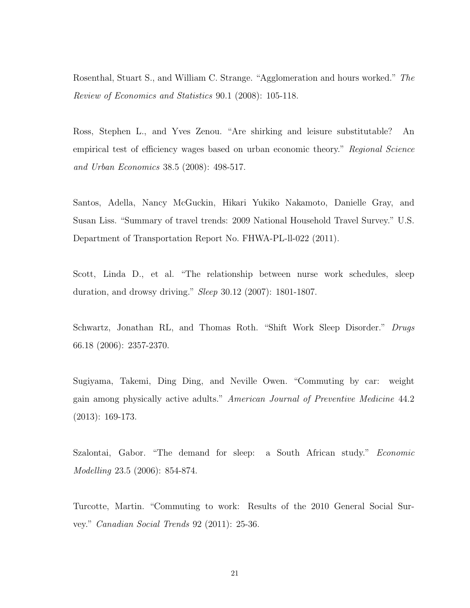Rosenthal, Stuart S., and William C. Strange. "Agglomeration and hours worked." The Review of Economics and Statistics 90.1 (2008): 105-118.

Ross, Stephen L., and Yves Zenou. "Are shirking and leisure substitutable? An empirical test of efficiency wages based on urban economic theory." Regional Science and Urban Economics 38.5 (2008): 498-517.

Santos, Adella, Nancy McGuckin, Hikari Yukiko Nakamoto, Danielle Gray, and Susan Liss. "Summary of travel trends: 2009 National Household Travel Survey." U.S. Department of Transportation Report No. FHWA-PL-ll-022 (2011).

Scott, Linda D., et al. "The relationship between nurse work schedules, sleep duration, and drowsy driving." Sleep 30.12 (2007): 1801-1807.

Schwartz, Jonathan RL, and Thomas Roth. "Shift Work Sleep Disorder." Drugs 66.18 (2006): 2357-2370.

Sugiyama, Takemi, Ding Ding, and Neville Owen. "Commuting by car: weight gain among physically active adults." American Journal of Preventive Medicine 44.2 (2013): 169-173.

Szalontai, Gabor. "The demand for sleep: a South African study." Economic Modelling 23.5 (2006): 854-874.

Turcotte, Martin. "Commuting to work: Results of the 2010 General Social Survey." Canadian Social Trends 92 (2011): 25-36.

21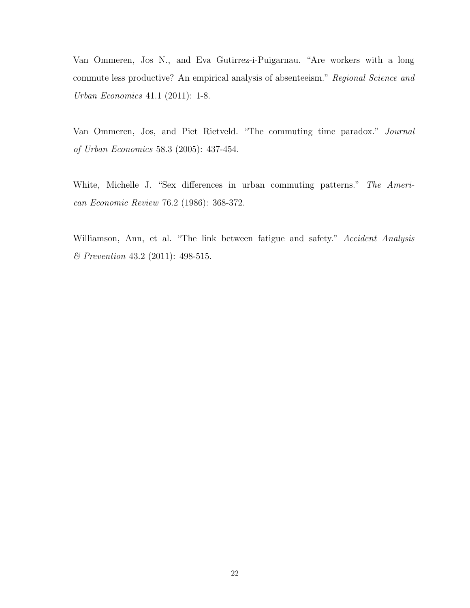Van Ommeren, Jos N., and Eva Gutirrez-i-Puigarnau. "Are workers with a long commute less productive? An empirical analysis of absenteeism." Regional Science and Urban Economics 41.1 (2011): 1-8.

Van Ommeren, Jos, and Piet Rietveld. "The commuting time paradox." Journal of Urban Economics 58.3 (2005): 437-454.

White, Michelle J. "Sex differences in urban commuting patterns." The American Economic Review 76.2 (1986): 368-372.

Williamson, Ann, et al. "The link between fatigue and safety." Accident Analysis & Prevention 43.2 (2011): 498-515.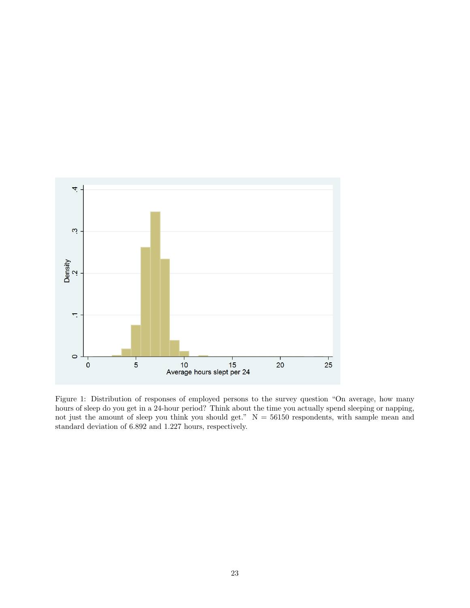

Figure 1: Distribution of responses of employed persons to the survey question "On average, how many hours of sleep do you get in a 24-hour period? Think about the time you actually spend sleeping or napping, not just the amount of sleep you think you should get."  $N = 56150$  respondents, with sample mean and standard deviation of 6.892 and 1.227 hours, respectively.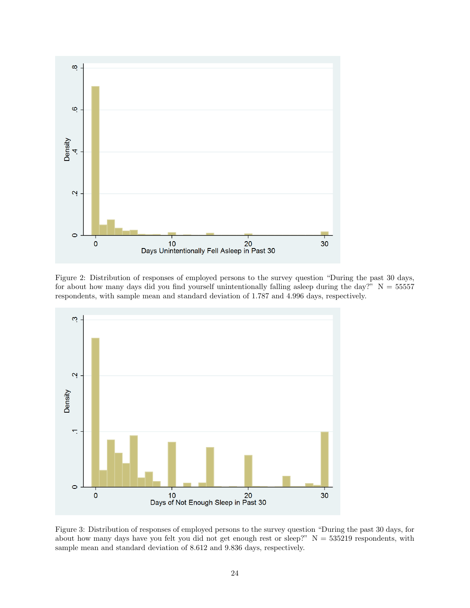

Figure 2: Distribution of responses of employed persons to the survey question "During the past 30 days, for about how many days did you find yourself unintentionally falling asleep during the day?"  $N = 55557$ respondents, with sample mean and standard deviation of 1.787 and 4.996 days, respectively.



Figure 3: Distribution of responses of employed persons to the survey question "During the past 30 days, for about how many days have you felt you did not get enough rest or sleep?"  $N = 535219$  respondents, with sample mean and standard deviation of 8.612 and 9.836 days, respectively.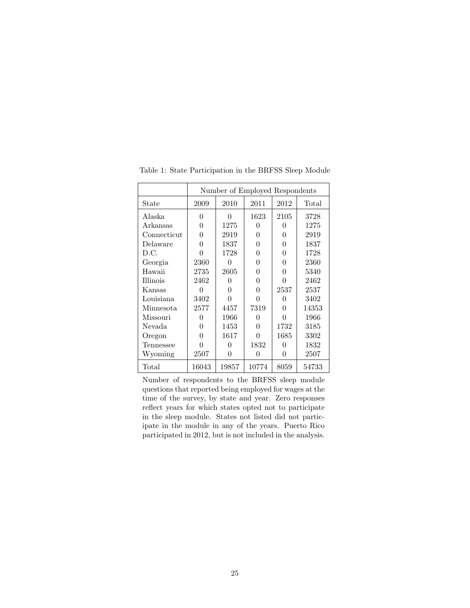|             | Number of Employed Respondents |       |          |                  |       |  |  |
|-------------|--------------------------------|-------|----------|------------------|-------|--|--|
| State       | 2009                           | 2010  | 2011     | 2012             | Total |  |  |
| Alaska      | 0                              | 0     | 1623     | 2105             | 3728  |  |  |
| Arkansas    | 0                              | 1275  | O        | $\left( \right)$ | 1275  |  |  |
| Connecticut | 0                              | 2919  | 0        | 0                | 2919  |  |  |
| Delaware    | 0                              | 1837  | 0        | 0                | 1837  |  |  |
| D.C.        | 0                              | 1728  | O        | 0                | 1728  |  |  |
| Georgia     | 2360                           |       | 0        | 0                | 2360  |  |  |
| Hawaii      | 2735                           | 2605  | ∩        | 0                | 5340  |  |  |
| Illinois    | 2462                           | 0     | O        | $\Omega$         | 2462  |  |  |
| Kansas      |                                | 0     | 0        | 2537             | 2537  |  |  |
| Louisiana   | 3402                           | O     | $\Omega$ | 0                | 3402  |  |  |
| Minnesota   | 2577                           | 4457  | 7319     | 0                | 14353 |  |  |
| Missouri    | $\Omega$                       | 1966  | $\Omega$ |                  | 1966  |  |  |
| Nevada      | 0                              | 1453  | ∩        | 1732             | 3185  |  |  |
| Oregon      | 0                              | 1617  | $\Omega$ | 1685             | 3302  |  |  |
| Tennessee   | 0                              | 0     | 1832     | 0                | 1832  |  |  |
| Wyoming     | 2507                           | 0     | ∩        | 0                | 2507  |  |  |
| Total       | 16043                          | 19857 | 10774    | 8059             | 54733 |  |  |

Table 1: State Participation in the BRFSS Sleep Module

Number of respondents to the BRFSS sleep module questions that reported being employed for wages at the time of the survey, by state and year. Zero responses reflect years for which states opted not to participate in the sleep module. States not listed did not participate in the module in any of the years. Puerto Rico participated in 2012, but is not included in the analysis.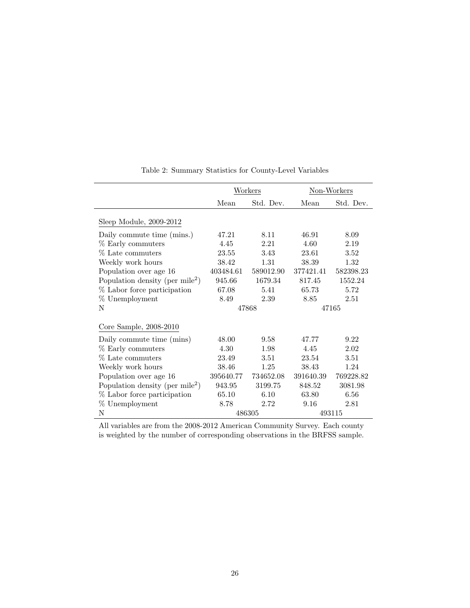|                                             |           | Workers   | Non-Workers |           |  |
|---------------------------------------------|-----------|-----------|-------------|-----------|--|
|                                             | Mean      | Std. Dev. | Mean        | Std. Dev. |  |
| Sleep Module, 2009-2012                     |           |           |             |           |  |
| Daily commute time (mins.)                  | 47.21     | 8.11      | 46.91       | 8.09      |  |
| % Early commuters                           | 4.45      | 2.21      | 4.60        | 2.19      |  |
| % Late commuters                            | 23.55     | 3.43      | 23.61       | 3.52      |  |
| Weekly work hours                           | 38.42     | 1.31      | 38.39       | 1.32      |  |
| Population over age 16                      | 403484.61 | 589012.90 | 377421.41   | 582398.23 |  |
| Population density (per mile <sup>2</sup> ) | 945.66    | 1679.34   | 817.45      | 1552.24   |  |
| % Labor force participation                 | 67.08     | 5.41      | 65.73       | 5.72      |  |
| % Unemployment                              | 8.49      | 2.39      | 8.85        | 2.51      |  |
| N                                           |           | 47868     | 47165       |           |  |
| Core Sample, 2008-2010                      |           |           |             |           |  |
| Daily commute time (mins)                   | 48.00     | 9.58      | 47.77       | 9.22      |  |
| % Early commuters                           | 4.30      | 1.98      | 4.45        | 2.02      |  |
| % Late commuters                            | 23.49     | 3.51      | 23.54       | 3.51      |  |
| Weekly work hours                           | 38.46     | 1.25      | 38.43       | 1.24      |  |
| Population over age 16                      | 395640.77 | 734652.08 | 391640.39   | 769228.82 |  |
| Population density (per mile <sup>2</sup> ) | 943.95    | 3199.75   | 848.52      | 3081.98   |  |
| % Labor force participation                 | 65.10     | 6.10      | 63.80       | 6.56      |  |
| % Unemployment                              | 8.78      | 2.72      | 9.16        | 2.81      |  |
| N                                           |           | 486305    |             | 493115    |  |

Table 2: Summary Statistics for County-Level Variables

All variables are from the 2008-2012 American Community Survey. Each county is weighted by the number of corresponding observations in the BRFSS sample.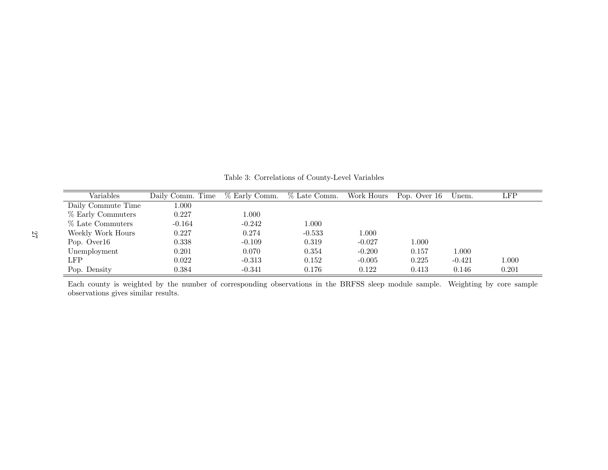| Variables          | Daily Comm. Time | % Early Comm. | % Late Comm. | Work Hours | Pop. Over 16 | Unem.    | $_{\rm LFP}$ |
|--------------------|------------------|---------------|--------------|------------|--------------|----------|--------------|
| Daily Commute Time | 1.000            |               |              |            |              |          |              |
| % Early Commuters  | 0.227            | $1.000\,$     |              |            |              |          |              |
| % Late Commuters   | $-0.164$         | $-0.242$      | 1.000        |            |              |          |              |
| Weekly Work Hours  | 0.227            | 0.274         | $-0.533$     | 1.000      |              |          |              |
| Pop. Over16        | 0.338            | $-0.109$      | 0.319        | $-0.027$   | 1.000        |          |              |
| Unemployment       | 0.201            | 0.070         | 0.354        | $-0.200$   | 0.157        | 1.000    |              |
| LFP                | 0.022            | $-0.313$      | 0.152        | $-0.005$   | 0.225        | $-0.421$ | 1.000        |
| Pop. Density       | 0.384            | $-0.341$      | 0.176        | 0.122      | 0.413        | 0.146    | 0.201        |

Table 3: Correlations of County-Level Variables

Each county is weighted by the number of corresponding observations in the BRFSS sleep module sample. Weighting by core sample observations <sup>g</sup>ives similar results.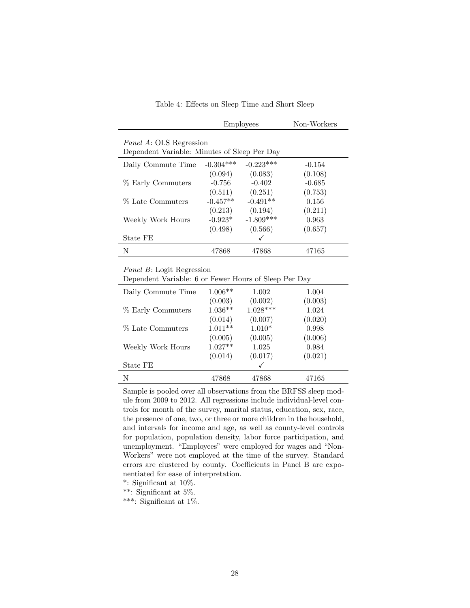|                                                                                |             | <b>Employees</b> | Non-Workers |  |  |  |  |
|--------------------------------------------------------------------------------|-------------|------------------|-------------|--|--|--|--|
| <i>Panel A:</i> OLS Regression<br>Dependent Variable: Minutes of Sleep Per Day |             |                  |             |  |  |  |  |
| Daily Commute Time                                                             | $-0.304***$ | $-0.223***$      | $-0.154$    |  |  |  |  |
|                                                                                | (0.094)     | (0.083)          | (0.108)     |  |  |  |  |
| % Early Commuters                                                              | $-0.756$    | $-0.402$         | $-0.685$    |  |  |  |  |
|                                                                                | (0.511)     | (0.251)          | (0.753)     |  |  |  |  |
| % Late Commuters                                                               | $-0.457**$  | $-0.491**$       | 0.156       |  |  |  |  |
|                                                                                | (0.213)     | (0.194)          | (0.211)     |  |  |  |  |
| Weekly Work Hours                                                              | $-0.923*$   | $-1.809***$      | 0.963       |  |  |  |  |
|                                                                                | (0.498)     | (0.566)          | (0.657)     |  |  |  |  |
| State FE                                                                       |             |                  |             |  |  |  |  |
| Ν                                                                              | 47868       | 47868            | 47165       |  |  |  |  |

Panel B: Logit Regression

| Dependent Variable: 6 or Fewer Hours of Sleep Per Day |  |  |
|-------------------------------------------------------|--|--|
|-------------------------------------------------------|--|--|

| Daily Commute Time | $1.006**$            | 1.002                 | 1.004            |
|--------------------|----------------------|-----------------------|------------------|
|                    | (0.003)<br>$1.036**$ | (0.002)<br>$1.028***$ | (0.003)<br>1.024 |
| % Early Commuters  | (0.014)              | (0.007)               | (0.020)          |
| % Late Commuters   | $1.011**$            | $1.010*$              | 0.998            |
|                    | (0.005)              | (0.005)               | (0.006)          |
| Weekly Work Hours  | $1.027**$<br>(0.014) | 1.025<br>(0.017)      | 0.984<br>(0.021) |
| State FE           |                      |                       |                  |
| N                  | 47868                | 47868                 | 47165            |

Sample is pooled over all observations from the BRFSS sleep module from 2009 to 2012. All regressions include individual-level controls for month of the survey, marital status, education, sex, race, the presence of one, two, or three or more children in the household, and intervals for income and age, as well as county-level controls for population, population density, labor force participation, and unemployment. "Employees" were employed for wages and "Non-Workers" were not employed at the time of the survey. Standard errors are clustered by county. Coefficients in Panel B are exponentiated for ease of interpretation.

\*: Significant at 10%.

\*\*: Significant at 5%.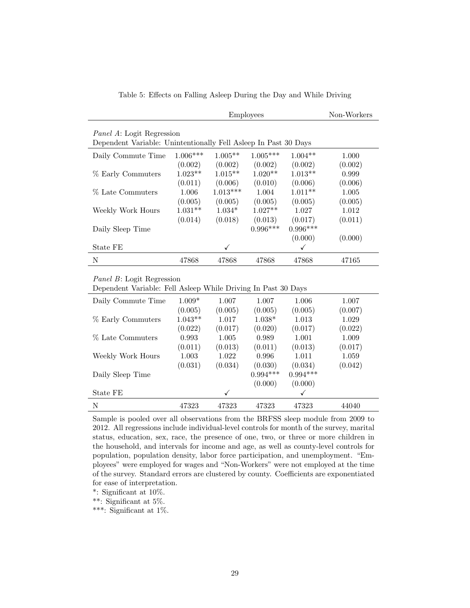| Table 5: Effects on Falling Asleep During the Day and While Driving |  |  |  |  |
|---------------------------------------------------------------------|--|--|--|--|
|                                                                     |  |  |  |  |

|                                                                                                      |            | Non-Workers |            |            |         |  |
|------------------------------------------------------------------------------------------------------|------------|-------------|------------|------------|---------|--|
| <i>Panel A</i> : Logit Regression<br>Dependent Variable: Unintentionally Fell Asleep In Past 30 Days |            |             |            |            |         |  |
| Daily Commute Time                                                                                   | $1.006***$ | $1.005**$   | $1.005***$ | $1.004**$  | 1.000   |  |
|                                                                                                      | (0.002)    | (0.002)     | (0.002)    | (0.002)    | (0.002) |  |
| % Early Commuters                                                                                    | $1.023**$  | $1.015**$   | $1.020**$  | $1.013**$  | 0.999   |  |
|                                                                                                      | (0.011)    | (0.006)     | (0.010)    | (0.006)    | (0.006) |  |
| % Late Commuters                                                                                     | 1.006      | $1.013***$  | 1.004      | $1.011**$  | 1.005   |  |
|                                                                                                      | (0.005)    | (0.005)     | (0.005)    | (0.005)    | (0.005) |  |
| Weekly Work Hours                                                                                    | $1.031**$  | $1.034*$    | $1.027**$  | 1.027      | 1.012   |  |
|                                                                                                      | (0.014)    | (0.018)     | (0.013)    | (0.017)    | (0.011) |  |
| Daily Sleep Time                                                                                     |            |             | $0.996***$ | $0.996***$ |         |  |
|                                                                                                      |            |             |            | (0.000)    | (0.000) |  |
| State FE                                                                                             |            | ✓           |            | ✓          |         |  |
| N                                                                                                    | 47868      | 47868       | 47868      | 47868      | 47165   |  |

#### Panel B: Logit Regression

Dependent Variable: Fell Asleep While Driving In Past 30 Days

| Daily Commute Time | $1.009*$  | 1.007        | 1.007      | 1.006        | 1.007   |
|--------------------|-----------|--------------|------------|--------------|---------|
|                    | (0.005)   | (0.005)      | (0.005)    | (0.005)      | (0.007) |
| % Early Commuters  | $1.043**$ | 1.017        | $1.038*$   | 1.013        | 1.029   |
|                    | (0.022)   | (0.017)      | (0.020)    | (0.017)      | (0.022) |
| % Late Commuters   | 0.993     | 1.005        | 0.989      | 1.001        | 1.009   |
|                    | (0.011)   | (0.013)      | (0.011)    | (0.013)      | (0.017) |
| Weekly Work Hours  | 1.003     | 1.022        | 0.996      | 1.011        | 1.059   |
|                    | (0.031)   | (0.034)      | (0.030)    | (0.034)      | (0.042) |
| Daily Sleep Time   |           |              | $0.994***$ | $0.994***$   |         |
|                    |           |              | (0.000)    | (0.000)      |         |
| State FE           |           | $\checkmark$ |            | $\checkmark$ |         |
| N                  | 47323     | 47323        | 47323      | 47323        | 44040   |

Sample is pooled over all observations from the BRFSS sleep module from 2009 to 2012. All regressions include individual-level controls for month of the survey, marital status, education, sex, race, the presence of one, two, or three or more children in the household, and intervals for income and age, as well as county-level controls for population, population density, labor force participation, and unemployment. "Employees" were employed for wages and "Non-Workers" were not employed at the time of the survey. Standard errors are clustered by county. Coefficients are exponentiated for ease of interpretation.

\*: Significant at 10%.

\*\*: Significant at 5%.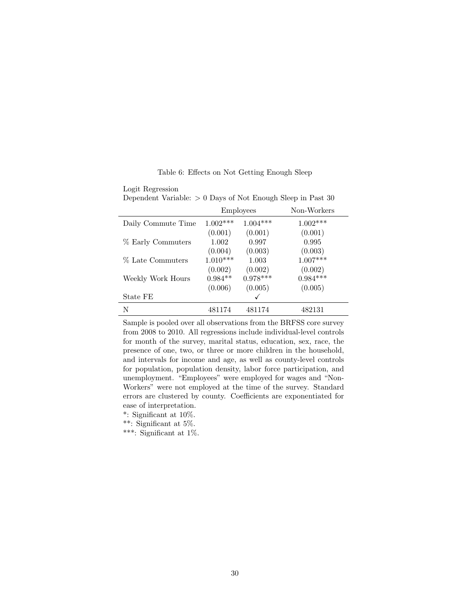Logit Regression

Dependent Variable:  $> 0$  Days of Not Enough Sleep in Past 30

|                    |            | <b>Employees</b> | Non-Workers |
|--------------------|------------|------------------|-------------|
| Daily Commute Time | $1.002***$ | $1.004***$       | $1.002***$  |
|                    | (0.001)    | (0.001)          | (0.001)     |
| % Early Commuters  | 1.002      | 0.997            | 0.995       |
|                    | (0.004)    | (0.003)          | (0.003)     |
| % Late Commuters   | $1.010***$ | 1.003            | $1.007***$  |
|                    | (0.002)    | (0.002)          | (0.002)     |
| Weekly Work Hours  | $0.984**$  | $0.978***$       | $0.984***$  |
|                    | (0.006)    | (0.005)          | (0.005)     |
| State FE           |            |                  |             |
| N                  | 481174     | 481174           | 482131      |

Sample is pooled over all observations from the BRFSS core survey from 2008 to 2010. All regressions include individual-level controls for month of the survey, marital status, education, sex, race, the presence of one, two, or three or more children in the household, and intervals for income and age, as well as county-level controls for population, population density, labor force participation, and unemployment. "Employees" were employed for wages and "Non-Workers" were not employed at the time of the survey. Standard errors are clustered by county. Coefficients are exponentiated for ease of interpretation.

\*: Significant at 10%.

\*\*: Significant at 5%.